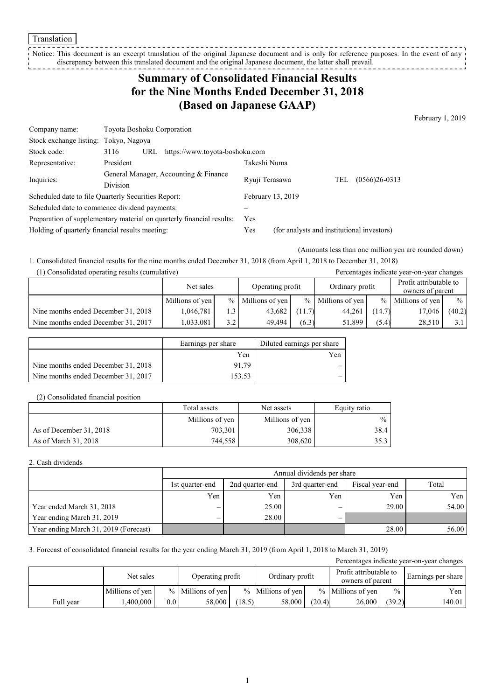Translation

Notice: This document is an excerpt translation of the original Japanese document and is only for reference purposes. In the event of any discrepancy between this translated document and the original Japanese document, the latter shall prevail. --------------

# **Summary of Consolidated Financial Results for the Nine Months Ended December 31, 2018 (Based on Japanese GAAP)**

February 1, 2019

| Company name:                                                         | <b>Toyota Boshoku Corporation</b>             |                   |                                            |                          |  |  |  |
|-----------------------------------------------------------------------|-----------------------------------------------|-------------------|--------------------------------------------|--------------------------|--|--|--|
| Stock exchange listing:                                               | Tokyo, Nagoya                                 |                   |                                            |                          |  |  |  |
| Stock code:                                                           | https://www.toyota-boshoku.com<br>3116<br>URL |                   |                                            |                          |  |  |  |
| Representative:                                                       | President                                     | Takeshi Numa      |                                            |                          |  |  |  |
| Inquiries:                                                            | General Manager, Accounting & Finance         | Ryuji Terasawa    |                                            | $(0566)26 - 0313$<br>TEL |  |  |  |
|                                                                       | <b>Division</b>                               |                   |                                            |                          |  |  |  |
| Scheduled date to file Quarterly Securities Report:                   |                                               | February 13, 2019 |                                            |                          |  |  |  |
| Scheduled date to commence dividend payments:                         |                                               |                   |                                            |                          |  |  |  |
| Preparation of supplementary material on quarterly financial results: |                                               | Yes               |                                            |                          |  |  |  |
| Holding of quarterly financial results meeting:                       |                                               | Yes               | (for analysts and institutional investors) |                          |  |  |  |

(Amounts less than one million yen are rounded down)

1. Consolidated financial results for the nine months ended December 31, 2018 (from April 1, 2018 to December 31, 2018)

| (1) Consolidated operating results (cumulative) |  |  |
|-------------------------------------------------|--|--|
|-------------------------------------------------|--|--|

| (1) Consolidated operating results (cumulative) |                 |     |                     |        |                     |               | Percentages indicate year-on-year changes  |               |
|-------------------------------------------------|-----------------|-----|---------------------|--------|---------------------|---------------|--------------------------------------------|---------------|
|                                                 | Net sales       |     | Operating profit    |        | Ordinary profit     |               | Profit attributable to<br>owners of parent |               |
|                                                 | Millions of yen |     | $%$ Millions of yen |        | $%$ Millions of yen | $\frac{0}{0}$ | Millions of yen                            | $\frac{0}{0}$ |
| Nine months ended December 31, 2018             | 1.046.781       | 1.3 | 43,682              | (11.7) | 44.261              | (14.7)        | 17,046                                     | (40.2)        |
| Nine months ended December 31, 2017             | 1,033,081       | 3.2 | 49.494              | (6.3)  | 51.899              | (5.4)         | 28,510                                     | 3.1           |

|                                     | Earnings per share | Diluted earnings per share |
|-------------------------------------|--------------------|----------------------------|
|                                     | Yen                | Yen                        |
| Nine months ended December 31, 2018 | 9179               |                            |
| Nine months ended December 31, 2017 | 153.53             | -                          |

#### (2) Consolidated financial position

|                         | Total assets    | Net assets      | Equity ratio  |
|-------------------------|-----------------|-----------------|---------------|
|                         | Millions of yen | Millions of yen | $\frac{0}{0}$ |
| As of December 31, 2018 | 703,301         | 306,338         | 38.4          |
| As of March 31, 2018    | 744,558         | 308,620         | 35.3          |

#### 2. Cash dividends

|                                       |                 | Annual dividends per share |                 |                 |       |  |  |  |
|---------------------------------------|-----------------|----------------------------|-----------------|-----------------|-------|--|--|--|
|                                       | 1st quarter-end | 2nd quarter-end            | 3rd quarter-end | Fiscal year-end | Total |  |  |  |
|                                       | Yen             | Yen                        | Yen             | Yen             | Yen   |  |  |  |
| Year ended March 31, 2018             |                 | 25.00                      |                 | 29.00           | 54.00 |  |  |  |
| Year ending March 31, 2019            |                 | 28.00                      |                 |                 |       |  |  |  |
| Year ending March 31, 2019 (Forecast) |                 |                            |                 | 28.00           | 56.00 |  |  |  |

3. Forecast of consolidated financial results for the year ending March 31, 2019 (from April 1, 2018 to March 31, 2019)

|           |                 |                  |                      |        |                     |        |                                            |        | Percentages indicate year-on-year changes |
|-----------|-----------------|------------------|----------------------|--------|---------------------|--------|--------------------------------------------|--------|-------------------------------------------|
|           | Net sales       |                  | Operating profit     |        | Ordinary profit     |        | Profit attributable to<br>owners of parent |        | Earnings per share                        |
|           | Millions of yen |                  | $\%$ Millions of yen |        | $%$ Millions of yen |        | $%$ Millions of yen                        | $\%$   | Yen                                       |
| Full year | .400.000        | 0.0 <sub>1</sub> | 58,000               | (18.5) | 58,000              | (20.4) | 26,000                                     | (39.2) | 140.01                                    |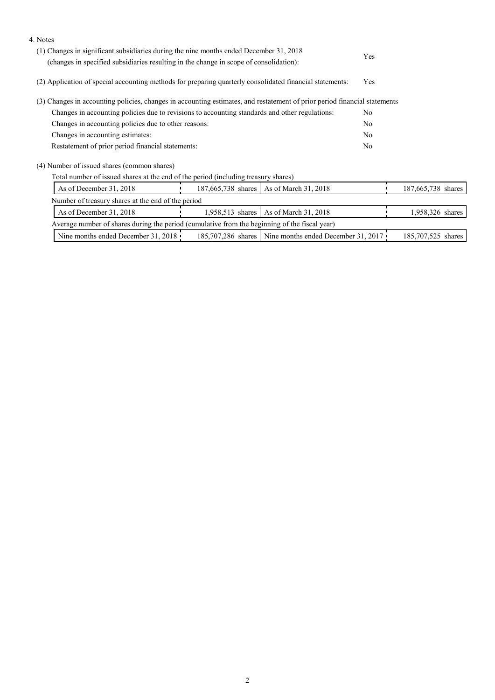| 4. Notes                                                                                                                                                                         |     |                                                        |                |                    |
|----------------------------------------------------------------------------------------------------------------------------------------------------------------------------------|-----|--------------------------------------------------------|----------------|--------------------|
| (1) Changes in significant subsidiaries during the nine months ended December 31, 2018<br>(changes in specified subsidiaries resulting in the change in scope of consolidation): | Yes |                                                        |                |                    |
| (2) Application of special accounting methods for preparing quarterly consolidated financial statements:                                                                         |     | Yes                                                    |                |                    |
| (3) Changes in accounting policies, changes in accounting estimates, and restatement of prior period financial statements                                                        |     |                                                        |                |                    |
| Changes in accounting policies due to revisions to accounting standards and other regulations:                                                                                   |     | No                                                     |                |                    |
| Changes in accounting policies due to other reasons:                                                                                                                             |     | No                                                     |                |                    |
| Changes in accounting estimates:                                                                                                                                                 |     |                                                        | N <sub>0</sub> |                    |
| Restatement of prior period financial statements:                                                                                                                                |     |                                                        | N <sub>0</sub> |                    |
| (4) Number of issued shares (common shares)                                                                                                                                      |     |                                                        |                |                    |
| Total number of issued shares at the end of the period (including treasury shares)                                                                                               |     |                                                        |                |                    |
| As of December 31, 2018                                                                                                                                                          |     | 187,665,738 shares   As of March 31, 2018              |                | 187,665,738 shares |
| Number of treasury shares at the end of the period                                                                                                                               |     |                                                        |                |                    |
| As of December 31, 2018                                                                                                                                                          |     | 1,958,513 shares   As of March 31, 2018                |                | 1,958,326 shares   |
| Average number of shares during the period (cumulative from the beginning of the fiscal year)                                                                                    |     |                                                        |                |                    |
| Nine months ended December 31, 2018                                                                                                                                              |     | 185,707,286 shares Nine months ended December 31, 2017 |                | 185,707,525 shares |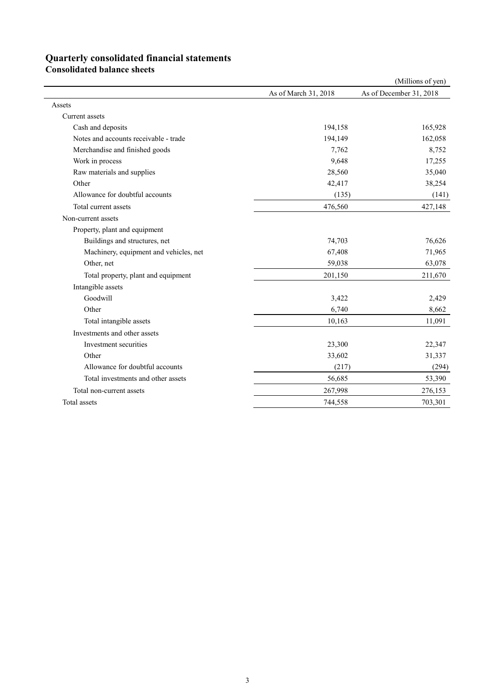## **Quarterly consolidated financial statements**

**Consolidated balance sheets** 

|                                        |                      | (Millions of yen)       |
|----------------------------------------|----------------------|-------------------------|
|                                        | As of March 31, 2018 | As of December 31, 2018 |
| Assets                                 |                      |                         |
| <b>Current</b> assets                  |                      |                         |
| Cash and deposits                      | 194,158              | 165,928                 |
| Notes and accounts receivable - trade  | 194,149              | 162,058                 |
| Merchandise and finished goods         | 7,762                | 8,752                   |
| Work in process                        | 9,648                | 17,255                  |
| Raw materials and supplies             | 28,560               | 35,040                  |
| Other                                  | 42,417               | 38,254                  |
| Allowance for doubtful accounts        | (135)                | (141)                   |
| Total current assets                   | 476,560              | 427,148                 |
| Non-current assets                     |                      |                         |
| Property, plant and equipment          |                      |                         |
| Buildings and structures, net          | 74,703               | 76,626                  |
| Machinery, equipment and vehicles, net | 67,408               | 71,965                  |
| Other, net                             | 59,038               | 63,078                  |
| Total property, plant and equipment    | 201,150              | 211,670                 |
| Intangible assets                      |                      |                         |
| Goodwill                               | 3,422                | 2,429                   |
| Other                                  | 6,740                | 8,662                   |
| Total intangible assets                | 10,163               | 11,091                  |
| Investments and other assets           |                      |                         |
| Investment securities                  | 23,300               | 22,347                  |
| Other                                  | 33,602               | 31,337                  |
| Allowance for doubtful accounts        | (217)                | (294)                   |
| Total investments and other assets     | 56,685               | 53,390                  |
| Total non-current assets               | 267,998              | 276,153                 |
| Total assets                           | 744,558              | 703,301                 |
|                                        |                      |                         |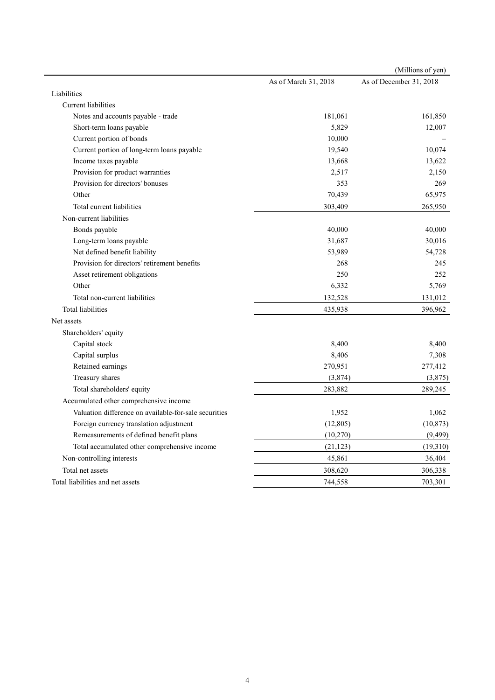|                                                       |                      | (Millions of yen)       |
|-------------------------------------------------------|----------------------|-------------------------|
|                                                       | As of March 31, 2018 | As of December 31, 2018 |
| Liabilities                                           |                      |                         |
| Current liabilities                                   |                      |                         |
| Notes and accounts payable - trade                    | 181,061              | 161,850                 |
| Short-term loans payable                              | 5,829                | 12,007                  |
| Current portion of bonds                              | 10,000               |                         |
| Current portion of long-term loans payable            | 19,540               | 10,074                  |
| Income taxes payable                                  | 13,668               | 13,622                  |
| Provision for product warranties                      | 2,517                | 2,150                   |
| Provision for directors' bonuses                      | 353                  | 269                     |
| Other                                                 | 70,439               | 65,975                  |
| Total current liabilities                             | 303,409              | 265,950                 |
| Non-current liabilities                               |                      |                         |
| Bonds payable                                         | 40,000               | 40,000                  |
| Long-term loans payable                               | 31,687               | 30,016                  |
| Net defined benefit liability                         | 53,989               | 54,728                  |
| Provision for directors' retirement benefits          | 268                  | 245                     |
| Asset retirement obligations                          | 250                  | 252                     |
| Other                                                 | 6,332                | 5,769                   |
| Total non-current liabilities                         | 132,528              | 131,012                 |
| Total liabilities                                     | 435,938              | 396,962                 |
| Net assets                                            |                      |                         |
| Shareholders' equity                                  |                      |                         |
| Capital stock                                         | 8,400                | 8,400                   |
| Capital surplus                                       | 8,406                | 7,308                   |
| Retained earnings                                     | 270,951              | 277,412                 |
| Treasury shares                                       | (3,874)              | (3,875)                 |
| Total shareholders' equity                            | 283,882              | 289,245                 |
| Accumulated other comprehensive income                |                      |                         |
| Valuation difference on available-for-sale securities | 1,952                | 1,062                   |
| Foreign currency translation adjustment               | (12, 805)            | (10, 873)               |
| Remeasurements of defined benefit plans               | (10,270)             | (9, 499)                |
| Total accumulated other comprehensive income          | (21, 123)            | (19,310)                |
| Non-controlling interests                             | 45,861               | 36,404                  |
| Total net assets                                      | 308,620              | 306,338                 |
| Total liabilities and net assets                      | 744,558              | 703,301                 |
|                                                       |                      |                         |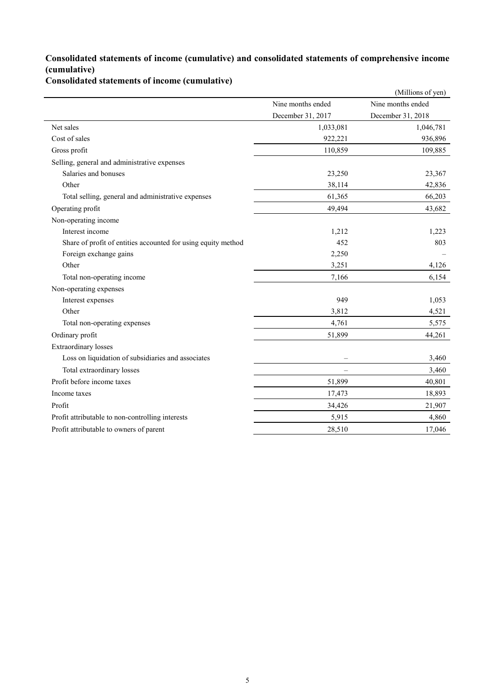## **Consolidated statements of income (cumulative) and consolidated statements of comprehensive income (cumulative)**

**Consolidated statements of income (cumulative)**

| Nine months ended<br>December 31, 2017<br>Net sales<br>Cost of sales<br>Gross profit<br>Selling, general and administrative expenses<br>Salaries and bonuses<br>Other<br>Total selling, general and administrative expenses<br>Operating profit<br>Non-operating income |           | Nine months ended |
|-------------------------------------------------------------------------------------------------------------------------------------------------------------------------------------------------------------------------------------------------------------------------|-----------|-------------------|
|                                                                                                                                                                                                                                                                         |           |                   |
|                                                                                                                                                                                                                                                                         |           | December 31, 2018 |
|                                                                                                                                                                                                                                                                         | 1,033,081 | 1,046,781         |
|                                                                                                                                                                                                                                                                         | 922,221   | 936,896           |
|                                                                                                                                                                                                                                                                         | 110,859   | 109,885           |
|                                                                                                                                                                                                                                                                         |           |                   |
|                                                                                                                                                                                                                                                                         | 23,250    | 23,367            |
|                                                                                                                                                                                                                                                                         | 38,114    | 42,836            |
|                                                                                                                                                                                                                                                                         | 61,365    | 66,203            |
|                                                                                                                                                                                                                                                                         | 49,494    | 43,682            |
|                                                                                                                                                                                                                                                                         |           |                   |
| Interest income                                                                                                                                                                                                                                                         | 1,212     | 1,223             |
| Share of profit of entities accounted for using equity method                                                                                                                                                                                                           | 452       | 803               |
| Foreign exchange gains                                                                                                                                                                                                                                                  | 2,250     |                   |
| Other                                                                                                                                                                                                                                                                   | 3,251     | 4,126             |
| Total non-operating income                                                                                                                                                                                                                                              | 7,166     | 6,154             |
| Non-operating expenses                                                                                                                                                                                                                                                  |           |                   |
| Interest expenses                                                                                                                                                                                                                                                       | 949       | 1,053             |
| Other                                                                                                                                                                                                                                                                   | 3,812     | 4,521             |
| Total non-operating expenses                                                                                                                                                                                                                                            | 4,761     | 5,575             |
| Ordinary profit                                                                                                                                                                                                                                                         | 51,899    | 44,261            |
| <b>Extraordinary losses</b>                                                                                                                                                                                                                                             |           |                   |
| Loss on liquidation of subsidiaries and associates                                                                                                                                                                                                                      |           | 3,460             |
| Total extraordinary losses                                                                                                                                                                                                                                              |           | 3,460             |
| Profit before income taxes                                                                                                                                                                                                                                              | 51,899    | 40,801            |
| Income taxes                                                                                                                                                                                                                                                            | 17,473    | 18,893            |
| Profit                                                                                                                                                                                                                                                                  | 34,426    | 21,907            |
| Profit attributable to non-controlling interests                                                                                                                                                                                                                        | 5,915     | 4,860             |
| Profit attributable to owners of parent                                                                                                                                                                                                                                 | 28,510    | 17,046            |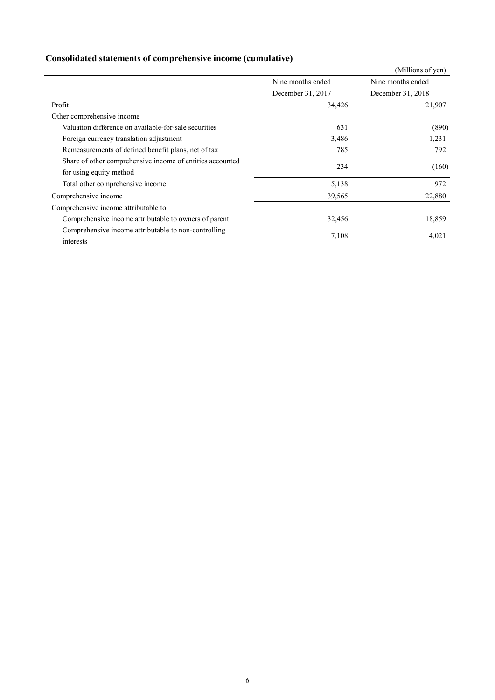|  | Consolidated statements of comprehensive income (cumulative) |  |
|--|--------------------------------------------------------------|--|
|  |                                                              |  |

|                                                                                      | (Millions of yen)                      |                   |  |  |
|--------------------------------------------------------------------------------------|----------------------------------------|-------------------|--|--|
|                                                                                      | Nine months ended                      | Nine months ended |  |  |
|                                                                                      | December 31, 2017<br>December 31, 2018 |                   |  |  |
| Profit                                                                               | 34,426                                 | 21,907            |  |  |
| Other comprehensive income                                                           |                                        |                   |  |  |
| Valuation difference on available-for-sale securities                                | 631                                    | (890)             |  |  |
| Foreign currency translation adjustment                                              | 3,486                                  | 1,231             |  |  |
| Remeasurements of defined benefit plans, net of tax                                  | 785                                    | 792               |  |  |
| Share of other comprehensive income of entities accounted<br>for using equity method | 234                                    | (160)             |  |  |
| Total other comprehensive income                                                     | 5,138                                  | 972               |  |  |
| Comprehensive income                                                                 | 39,565                                 | 22,880            |  |  |
| Comprehensive income attributable to                                                 |                                        |                   |  |  |
| Comprehensive income attributable to owners of parent                                | 32,456                                 | 18,859            |  |  |
| Comprehensive income attributable to non-controlling<br>interests                    | 7,108                                  | 4,021             |  |  |